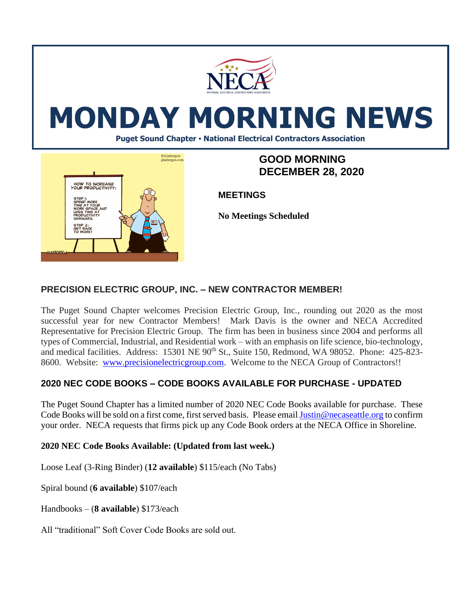

# **MONDAY MORNING NEWS**

**Puget Sound Chapter • National Electrical Contractors Association**



## **GOOD MORNING DECEMBER 28, 2020**

**MEETINGS**

**No Meetings Scheduled**

#### **PRECISION ELECTRIC GROUP, INC. – NEW CONTRACTOR MEMBER!**

The Puget Sound Chapter welcomes Precision Electric Group, Inc., rounding out 2020 as the most successful year for new Contractor Members! Mark Davis is the owner and NECA Accredited Representative for Precision Electric Group. The firm has been in business since 2004 and performs all types of Commercial, Industrial, and Residential work – with an emphasis on life science, bio-technology, and medical facilities. Address: 15301 NE 90<sup>th</sup> St., Suite 150, Redmond, WA 98052. Phone: 425-823-8600. Website: [www.precisionelectricgroup.com.](http://www.precisionelectricgroup.com/) Welcome to the NECA Group of Contractors!!

### **2020 NEC CODE BOOKS – CODE BOOKS AVAILABLE FOR PURCHASE - UPDATED**

The Puget Sound Chapter has a limited number of 2020 NEC Code Books available for purchase. These Code Books will be sold on a first come, first served basis. Please emai[l Justin@necaseattle.org](mailto:Justin@necaseattle.org) to confirm your order. NECA requests that firms pick up any Code Book orders at the NECA Office in Shoreline.

#### **2020 NEC Code Books Available: (Updated from last week.)**

Loose Leaf (3-Ring Binder) (**12 available**) \$115/each (No Tabs)

Spiral bound (**6 available**) \$107/each

Handbooks – (**8 available**) \$173/each

All "traditional" Soft Cover Code Books are sold out.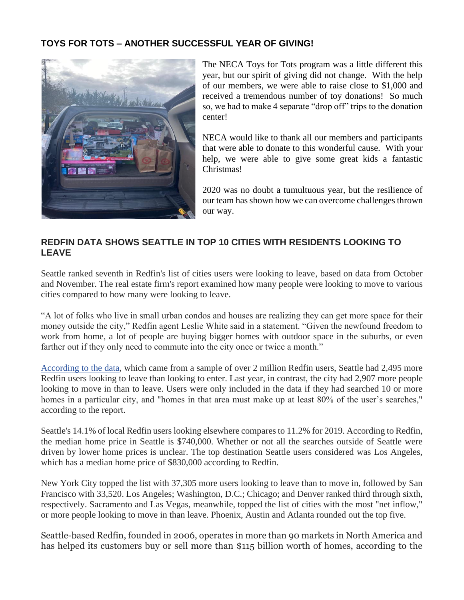#### **TOYS FOR TOTS – ANOTHER SUCCESSFUL YEAR OF GIVING!**



The NECA Toys for Tots program was a little different this year, but our spirit of giving did not change. With the help of our members, we were able to raise close to \$1,000 and received a tremendous number of toy donations! So much so, we had to make 4 separate "drop off" trips to the donation center!

NECA would like to thank all our members and participants that were able to donate to this wonderful cause. With your help, we were able to give some great kids a fantastic Christmas!

2020 was no doubt a tumultuous year, but the resilience of our team has shown how we can overcome challenges thrown our way.

#### **REDFIN DATA SHOWS SEATTLE IN TOP 10 CITIES WITH RESIDENTS LOOKING TO LEAVE**

Seattle ranked seventh in Redfin's list of cities users were looking to leave, based on data from October and November. The real estate firm's report examined how many people were looking to move to various cities compared to how many were looking to leave.

"A lot of folks who live in small urban condos and houses are realizing they can get more space for their money outside the city," Redfin agent Leslie White said in a statement. "Given the newfound freedom to work from home, a lot of people are buying bigger homes with outdoor space in the suburbs, or even farther out if they only need to commute into the city once or twice a month."

[According to the data,](https://www.redfin.com/news/october-november-2020-housing-migration-trends/) which came from a sample of over 2 million Redfin users, Seattle had 2,495 more Redfin users looking to leave than looking to enter. Last year, in contrast, the city had 2,907 more people looking to move in than to leave. Users were only included in the data if they had searched 10 or more homes in a particular city, and "homes in that area must make up at least 80% of the user's searches," according to the report.

Seattle's 14.1% of local Redfin users looking elsewhere compares to 11.2% for 2019. According to Redfin, the median home price in Seattle is \$740,000. Whether or not all the searches outside of Seattle were driven by lower home prices is unclear. The top destination Seattle users considered was Los Angeles, which has a median home price of \$830,000 according to Redfin.

New York City topped the list with 37,305 more users looking to leave than to move in, followed by San Francisco with 33,520. Los Angeles; Washington, D.C.; Chicago; and Denver ranked third through sixth, respectively. Sacramento and Las Vegas, meanwhile, topped the list of cities with the most "net inflow," or more people looking to move in than leave. Phoenix, Austin and Atlanta rounded out the top five.

Seattle-based Redfin, founded in 2006, operates in more than 90 markets in North America and has helped its customers buy or sell more than \$115 billion worth of homes, according to the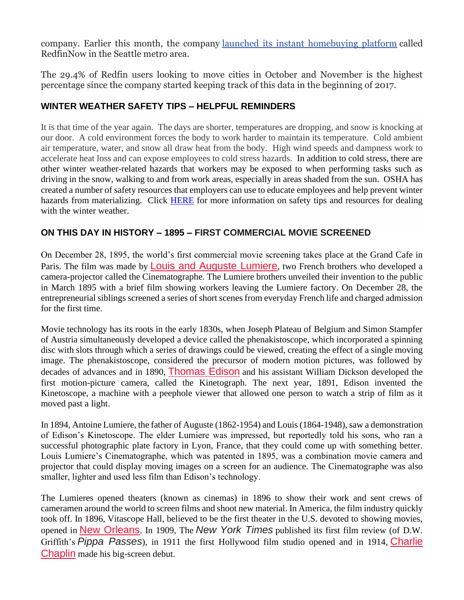company. Earlier this month, the company [launched its instant homebuying platform](https://www.bizjournals.com/seattle/news/2020/12/08/redfinnow-ibuying-launches-seattle-san-francisco.html) called RedfinNow in the Seattle metro area.

The 29.4% of Redfin users looking to move cities in October and November is the highest percentage since the company started keeping track of this data in the beginning of 2017.

#### **WINTER WEATHER SAFETY TIPS – HELPFUL REMINDERS**

It is that time of the year again. The days are shorter, temperatures are dropping, and snow is knocking at our door. A cold environment forces the body to work harder to maintain its temperature. Cold ambient air temperature, water, and snow all draw heat from the body. High wind speeds and dampness work to accelerate heat loss and can expose employees to cold stress hazards. In addition to cold stress, there are other winter weather-related hazards that workers may be exposed to when performing tasks such as driving in the snow, walking to and from work areas, especially in areas shaded from the sun. OSHA has created a number of safety resources that employers can use to educate employees and help prevent winter hazards from materializing. Click [HERE](https://www.osha.gov/dts/weather/winter_weather/windchill.html) for more information on safety tips and resources for dealing with the winter weather.

#### **ON THIS DAY IN HISTORY – 1895 – FIRST COMMERCIAL MOVIE SCREENED**

On December 28, 1895, the world's first commercial movie screening takes place at the Grand Cafe in Paris. The film was made by **[Louis and Auguste Lumiere](https://www.history.com/news/the-lumiere-brothers-pioneers-of-cinema)**, two French brothers who developed a camera-projector called the Cinematographe. The Lumiere brothers unveiled their invention to the public in March 1895 with a brief film showing workers leaving the Lumiere factory. On December 28, the entrepreneurial siblings screened a series of short scenes from everyday French life and charged admission for the first time.

Movie technology has its roots in the early 1830s, when Joseph Plateau of Belgium and Simon Stampfer of Austria simultaneously developed a device called the phenakistoscope, which incorporated a spinning disc with slots through which a series of drawings could be viewed, creating the effect of a single moving image. The phenakistoscope, considered the precursor of modern motion pictures, was followed by decades of advances and in 1890, [Thomas Edison](https://www.history.com/topics/inventions/thomas-edison) and his assistant William Dickson developed the first motion-picture camera, called the Kinetograph. The next year, 1891, Edison invented the Kinetoscope, a machine with a peephole viewer that allowed one person to watch a strip of film as it moved past a light.

In 1894, Antoine Lumiere, the father of Auguste (1862-1954) and Louis (1864-1948), saw a demonstration of Edison's Kinetoscope. The elder Lumiere was impressed, but reportedly told his sons, who ran a successful photographic plate factory in Lyon, France, that they could come up with something better. Louis Lumiere's Cinematographe, which was patented in 1895, was a combination movie camera and projector that could display moving images on a screen for an audience. The Cinematographe was also smaller, lighter and used less film than Edison's technology.

The Lumieres opened theaters (known as cinemas) in 1896 to show their work and sent crews of cameramen around the world to screen films and shoot new material. In America, the film industry quickly took off. In 1896, Vitascope Hall, believed to be the first theater in the U.S. devoted to showing movies, opened in [New Orleans](https://www.history.com/topics/new-orleans). In 1909, The *New York Times* published its first film review (of D.W. Griffith's *Pippa Passes*), in 1911 the first Hollywood film studio opened and in 1914, [Charlie](https://www.biography.com/actor/charlie-chaplin)  [Chaplin](https://www.biography.com/actor/charlie-chaplin) made his big-screen debut.